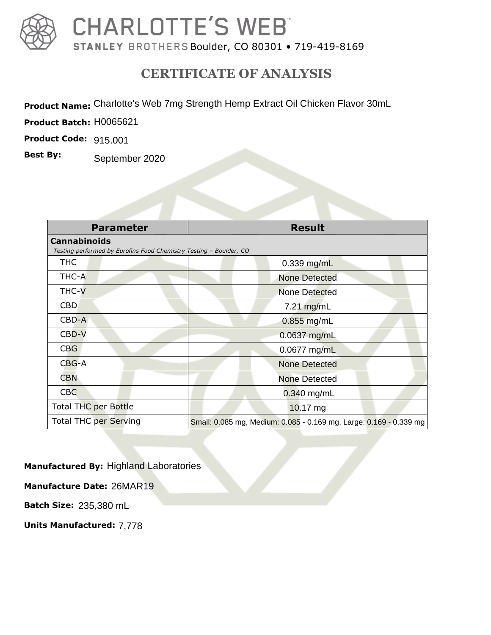

## **CHARLOTTE'S WEB**

STANLEY BROTHERS Boulder, CO 80301 • 719-419-8169

## **CERTIFICATE OF ANALYSIS**

Product Name: Charlotte's Web 7mg Strength Hemp Extract Oil Chicken Flavor 30mL

**Product Batch:** 

**Product Code:** 

**Best By:**

|                     | uct Name: Charlotte's Web 7mg Strength Hemp Extract Oil Chicken Flavor 30mL |                                                                    |  |  |  |
|---------------------|-----------------------------------------------------------------------------|--------------------------------------------------------------------|--|--|--|
|                     | uct Batch: H0065621                                                         |                                                                    |  |  |  |
| uct Code: 915.001   |                                                                             |                                                                    |  |  |  |
| By:                 | September 2020                                                              |                                                                    |  |  |  |
|                     |                                                                             |                                                                    |  |  |  |
|                     |                                                                             |                                                                    |  |  |  |
|                     |                                                                             |                                                                    |  |  |  |
|                     | <b>Parameter</b>                                                            | <b>Result</b>                                                      |  |  |  |
| <b>Cannabinoids</b> | Testing performed by Eurofins Food Chemistry Testing - Boulder, CO          |                                                                    |  |  |  |
| <b>THC</b>          |                                                                             | 0.339 mg/mL                                                        |  |  |  |
| THC-A               |                                                                             | <b>None Detected</b>                                               |  |  |  |
| THC-V               |                                                                             | <b>None Detected</b>                                               |  |  |  |
| <b>CBD</b>          |                                                                             | 7.21 mg/mL                                                         |  |  |  |
| CBD-A               |                                                                             | $0.855$ mg/mL                                                      |  |  |  |
| CBD-V               |                                                                             | 0.0637 mg/mL                                                       |  |  |  |
| <b>CBG</b>          |                                                                             | 0.0677 mg/mL                                                       |  |  |  |
| $CBG-A$             |                                                                             | <b>None Detected</b>                                               |  |  |  |
| <b>CBN</b>          |                                                                             | <b>None Detected</b>                                               |  |  |  |
| <b>CBC</b>          |                                                                             | $0.340$ mg/mL                                                      |  |  |  |
|                     | <b>Total THC per Bottle</b>                                                 | 10.17 mg                                                           |  |  |  |
|                     | <b>Total THC per Serving</b>                                                | Small: 0.085 mg, Medium: 0.085 - 0.169 mg, Large: 0.169 - 0.339 mg |  |  |  |

**Manufactured By:** Highland Laboratories

**Manufacture Date:** 26MAR19

**Batch Size:**

**Batch Size:** 235,380 mL<br>**Units Manufactured:** 7,778